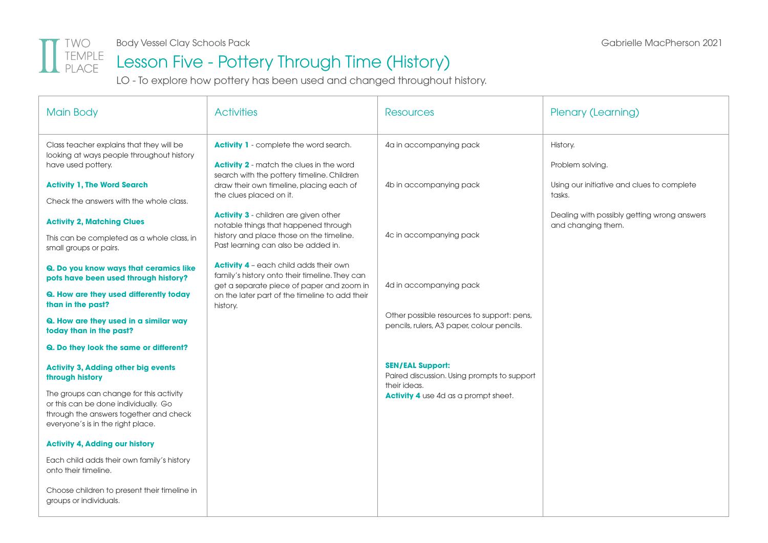

#### Lesson Five - Pottery Through Time (History)

LO - To explore how pottery has been used and changed throughout history.

| <b>Main Body</b>                                                                                                                                               | <b>Activities</b>                                                                                                                | <b>Resources</b>                                                                         | Plenary (Learning)                                                |
|----------------------------------------------------------------------------------------------------------------------------------------------------------------|----------------------------------------------------------------------------------------------------------------------------------|------------------------------------------------------------------------------------------|-------------------------------------------------------------------|
| Class teacher explains that they will be<br>looking at ways people throughout history<br>have used pottery.                                                    | <b>Activity 1</b> - complete the word search.<br><b>Activity 2</b> - match the clues in the word                                 | 4a in accompanying pack                                                                  | History.<br>Problem solving.                                      |
| <b>Activity 1, The Word Search</b><br>Check the answers with the whole class.                                                                                  | search with the pottery timeline. Children<br>draw their own timeline, placing each of<br>the clues placed on it.                | 4b in accompanying pack                                                                  | Using our initiative and clues to complete<br>tasks.              |
| <b>Activity 2, Matching Clues</b><br>This can be completed as a whole class, in                                                                                | <b>Activity 3 - children are given other</b><br>notable things that happened through<br>history and place those on the timeline. | 4c in accompanying pack                                                                  | Dealing with possibly getting wrong answers<br>and changing them. |
| small groups or pairs.                                                                                                                                         | Past learning can also be added in.<br><b>Activity 4</b> - each child adds their own                                             |                                                                                          |                                                                   |
| Q. Do you know ways that ceramics like<br>pots have been used through history?                                                                                 | family's history onto their timeline. They can<br>get a separate piece of paper and zoom in                                      | 4d in accompanying pack                                                                  |                                                                   |
| Q. How are they used differently today<br>than in the past?                                                                                                    | on the later part of the timeline to add their<br>history.                                                                       |                                                                                          |                                                                   |
| Q. How are they used in a similar way<br>today than in the past?                                                                                               |                                                                                                                                  | Other possible resources to support: pens,<br>pencils, rulers, A3 paper, colour pencils. |                                                                   |
| Q. Do they look the same or different?                                                                                                                         |                                                                                                                                  |                                                                                          |                                                                   |
| <b>Activity 3, Adding other big events</b><br>through history                                                                                                  |                                                                                                                                  | <b>SEN/EAL Support:</b><br>Paired discussion. Using prompts to support<br>their ideas.   |                                                                   |
| The groups can change for this activity<br>or this can be done individually. Go<br>through the answers together and check<br>everyone's is in the right place. |                                                                                                                                  | <b>Activity 4</b> use 4d as a prompt sheet.                                              |                                                                   |
| <b>Activity 4, Adding our history</b>                                                                                                                          |                                                                                                                                  |                                                                                          |                                                                   |
| Each child adds their own family's history<br>onto their timeline.                                                                                             |                                                                                                                                  |                                                                                          |                                                                   |
| Choose children to present their timeline in<br>groups or individuals.                                                                                         |                                                                                                                                  |                                                                                          |                                                                   |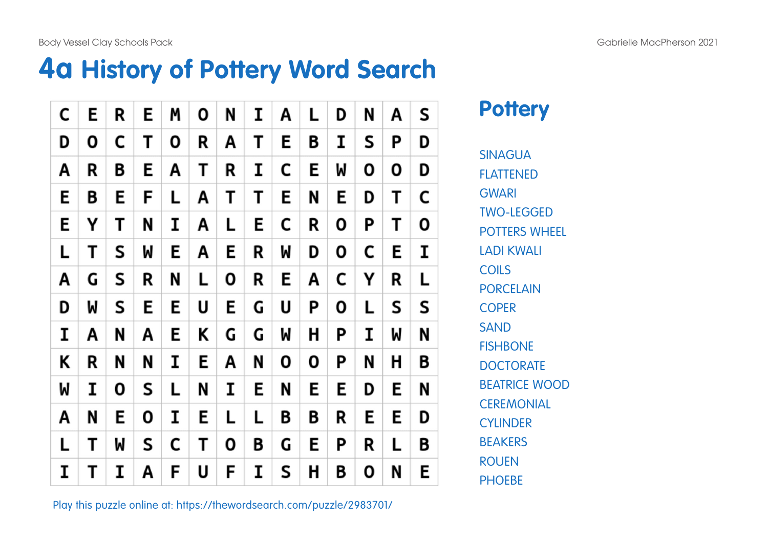Body Vessel Clay Schools Pack and the contract of the Schools Pack Gabrielle MacPherson 2021

#### **4a History of Pottery Word Search**

| C | Ε | R | E | M | 0 | N | I | Α | L | D | N | Α | S |
|---|---|---|---|---|---|---|---|---|---|---|---|---|---|
| D | Ο | С | Τ | 0 | R | Α | Т | E | B | I | S | Ρ | D |
| A | R | B | Е | A | Т | R | I | C | E | M | Ο | Ο | D |
| E | B | Ε | F | L | Α | Т | Т | E | N | Ε | D | Т | C |
| E | Υ | Τ | N | I | Α | L | Ε | C | R | 0 | Ρ | Т | 0 |
| L | Τ | S | M | Ε | Α | E | R | W | D | 0 | С | E | I |
| A | G | S | R | N | L | 0 | R | E | Α | C | Υ | R | L |
| D | W | S | Е | E | U | E | G | U | Ρ | 0 | L | S | S |
| I | Α | N | Α | Ε | Κ | G | G | W | Η | Ρ | I | W | N |
| K | R | N | N | I | E | Α | N | О | 0 | Ρ | N | Н | B |
| W | I | 0 | S | L | N | I | E | N | E | E | D | E | N |
| A | N | Ε | Ο | I | E | L | L | Β | B | R | E | E | D |
| L | т | W | S | C | Т | 0 | B | G | E | Ρ | R | L | Β |
| I | Т | I | Α | F | U | F | I | S | Η | B | 0 | N | Ε |

#### **Pottery**

SINAGUA **FI ATTENED GWARI** TWO-LEGGED POTTERS WHEEL LADI KWALI **COILS** PORCEL AIN COPER **SAND FISHBONE DOCTORATE** BEATRICE WOOD **CEREMONIAL CYLINDER BEAKERS** ROUEN **PHOEBE** 

Play this puzzle online at: https://thewordsearch.com/puzzle/2983701/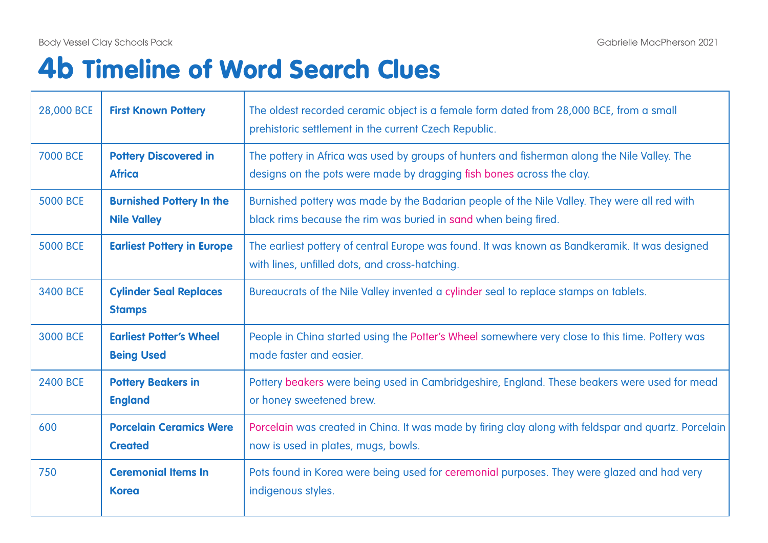$\overline{\phantom{a}}$ 

# 4b Timeline of Word Search Clues

| 28,000 BCE      | <b>First Known Pottery</b>                            | The oldest recorded ceramic object is a female form dated from 28,000 BCE, from a small<br>prehistoric settlement in the current Czech Republic.                      |
|-----------------|-------------------------------------------------------|-----------------------------------------------------------------------------------------------------------------------------------------------------------------------|
| <b>7000 BCE</b> | <b>Pottery Discovered in</b><br><b>Africa</b>         | The pottery in Africa was used by groups of hunters and fisherman along the Nile Valley. The<br>designs on the pots were made by dragging fish bones across the clay. |
| <b>5000 BCE</b> | <b>Burnished Pottery In the</b><br><b>Nile Valley</b> | Burnished pottery was made by the Badarian people of the Nile Valley. They were all red with<br>black rims because the rim was buried in sand when being fired.       |
| <b>5000 BCE</b> | <b>Earliest Pottery in Europe</b>                     | The earliest pottery of central Europe was found. It was known as Bandkeramik. It was designed<br>with lines, unfilled dots, and cross-hatching.                      |
| <b>3400 BCE</b> | <b>Cylinder Seal Replaces</b><br><b>Stamps</b>        | Bureaucrats of the Nile Valley invented a cylinder seal to replace stamps on tablets.                                                                                 |
| <b>3000 BCE</b> | <b>Earliest Potter's Wheel</b><br><b>Being Used</b>   | People in China started using the Potter's Wheel somewhere very close to this time. Pottery was<br>made faster and easier.                                            |
| <b>2400 BCE</b> | <b>Pottery Beakers in</b><br><b>England</b>           | Pottery beakers were being used in Cambridgeshire, England. These beakers were used for mead<br>or honey sweetened brew.                                              |
| 600             | <b>Porcelain Ceramics Were</b><br><b>Created</b>      | Porcelain was created in China. It was made by firing clay along with feldspar and quartz. Porcelain<br>now is used in plates, mugs, bowls.                           |
| 750             | <b>Ceremonial Items In</b><br><b>Korea</b>            | Pots found in Korea were being used for ceremonial purposes. They were glazed and had very<br>indigenous styles.                                                      |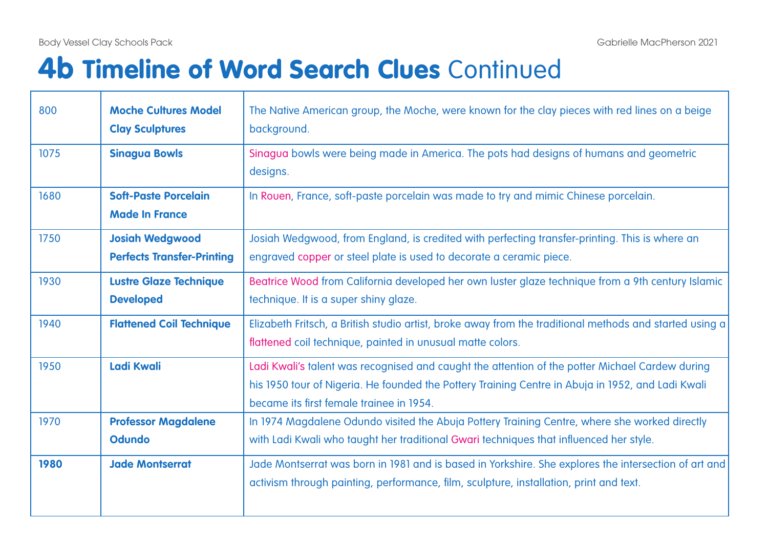┯

# **4b Timeline of Word Search Clues Continued**

| 800  | <b>Moche Cultures Model</b><br><b>Clay Sculptures</b>       | The Native American group, the Moche, were known for the clay pieces with red lines on a beige<br>background.                                                                                                                                    |
|------|-------------------------------------------------------------|--------------------------------------------------------------------------------------------------------------------------------------------------------------------------------------------------------------------------------------------------|
| 1075 | <b>Sinagua Bowls</b>                                        | Sinagua bowls were being made in America. The pots had designs of humans and geometric<br>designs.                                                                                                                                               |
| 1680 | <b>Soft-Paste Porcelain</b><br><b>Made In France</b>        | In Rouen, France, soft-paste porcelain was made to try and mimic Chinese porcelain.                                                                                                                                                              |
| 1750 | <b>Josiah Wedgwood</b><br><b>Perfects Transfer-Printing</b> | Josiah Wedgwood, from England, is credited with perfecting transfer-printing. This is where an<br>engraved copper or steel plate is used to decorate a ceramic piece.                                                                            |
| 1930 | <b>Lustre Glaze Technique</b><br><b>Developed</b>           | Beatrice Wood from California developed her own luster glaze technique from a 9th century Islamic<br>technique. It is a super shiny glaze.                                                                                                       |
| 1940 | <b>Flattened Coil Technique</b>                             | Elizabeth Fritsch, a British studio artist, broke away from the traditional methods and started using a<br>flattened coil technique, painted in unusual matte colors.                                                                            |
| 1950 | <b>Ladi Kwali</b>                                           | Ladi Kwali's talent was recognised and caught the attention of the potter Michael Cardew during<br>his 1950 tour of Nigeria. He founded the Pottery Training Centre in Abuja in 1952, and Ladi Kwali<br>became its first female trainee in 1954. |
| 1970 | <b>Professor Magdalene</b><br><b>Odundo</b>                 | In 1974 Magdalene Odundo visited the Abuja Pottery Training Centre, where she worked directly<br>with Ladi Kwali who taught her traditional Gwari techniques that influenced her style.                                                          |
| 1980 | <b>Jade Montserrat</b>                                      | Jade Montserrat was born in 1981 and is based in Yorkshire. She explores the intersection of art and<br>activism through painting, performance, film, sculpture, installation, print and text.                                                   |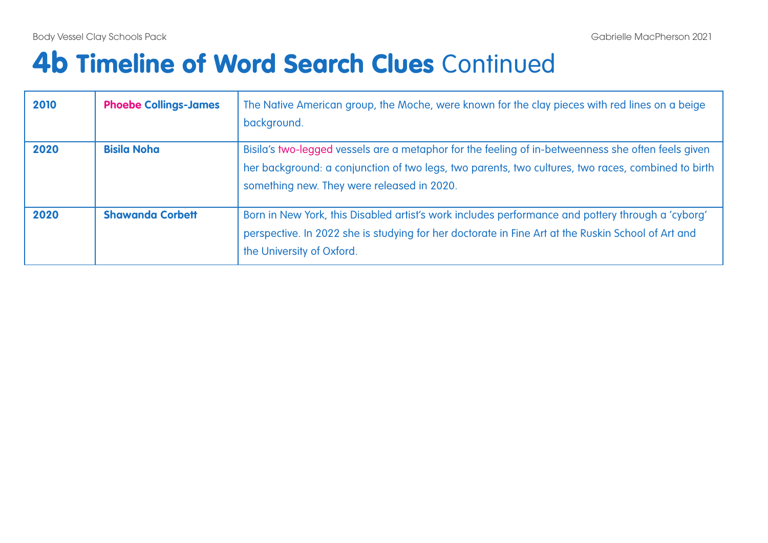# **4b Timeline of Word Search Clues Continued**

| 2010 | <b>Phoebe Collings-James</b> | The Native American group, the Moche, were known for the clay pieces with red lines on a beige<br>background.                                                                                                                                          |
|------|------------------------------|--------------------------------------------------------------------------------------------------------------------------------------------------------------------------------------------------------------------------------------------------------|
| 2020 | <b>Bisila Noha</b>           | Bisila's two-legged vessels are a metaphor for the feeling of in-betweenness she often feels given<br>her background: a conjunction of two legs, two parents, two cultures, two races, combined to birth<br>something new. They were released in 2020. |
| 2020 | <b>Shawanda Corbett</b>      | Born in New York, this Disabled artist's work includes performance and pottery through a 'cyborg'<br>perspective. In 2022 she is studying for her doctorate in Fine Art at the Ruskin School of Art and<br>the University of Oxford.                   |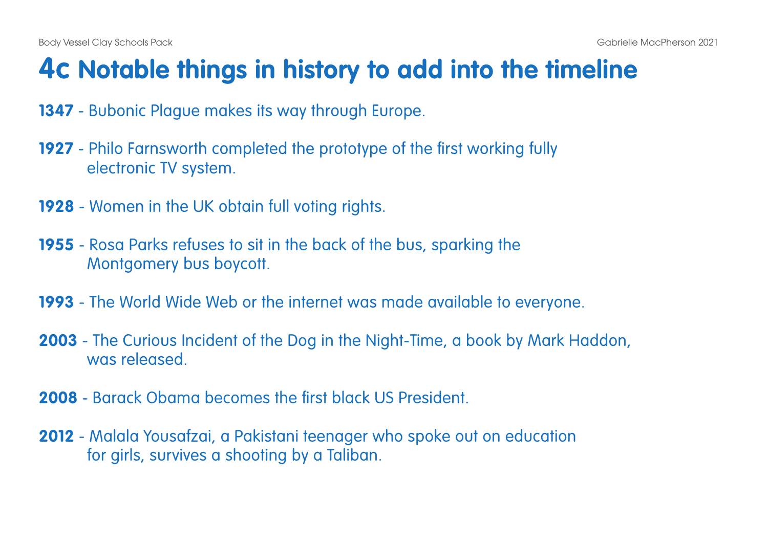## **4c Notable things in history to add into the timeline**

- **1347** Bubonic Plague makes its way through Europe.
- **1927** Philo Farnsworth completed the prototype of the first working fully electronic TV system.
- **1928** Women in the UK obtain full voting rights.
- **1955** Rosa Parks refuses to sit in the back of the bus, sparking the Montgomery bus boycott.
- **1993** The World Wide Web or the internet was made available to everyone.
- **2003** The Curious Incident of the Dog in the Night-Time, a book by Mark Haddon, was released.
- **2008** Barack Obama becomes the first black US President.
- **2012** Malala Yousafzai, a Pakistani teenager who spoke out on education for girls, survives a shooting by a Taliban.